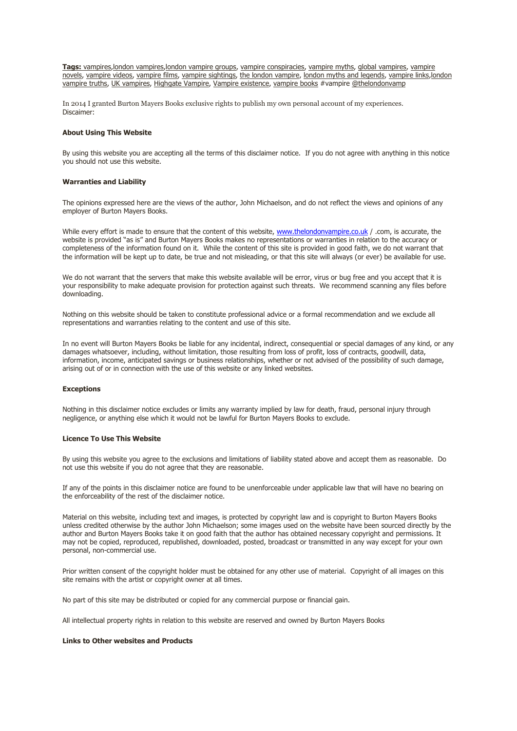**Tags:** [vampires](http://www.thelondonvampire.co.uk/page3.php)[,london vampires,](http://www.thelondonvampire.co.uk/page8.php)[london vampire groups,](http://www.thelondonvampire.co.uk/page10.php) [vampire conspiracies,](http://www.thelondonvampire.co.uk/page5.php) [vampire myths,](http://www.thelondonvampire.co.uk/page3.php) [global vampires,](http://www.thelondonvampire.co.uk/page4.php) [vampire](http://www.thelondonvampire.co.uk/page8.php)  [novels,](http://www.thelondonvampire.co.uk/page8.php) [vampire videos,](http://www.thelondonvampire.co.uk/page7.php) [vampire films,](http://www.youtube.com/thelondonvampire) [vampire sightings,](http://www.thelondonvampire.co.uk/page7.php) [the london vampire,](http://www.thelondonvampire.co.uk/page8.php) [london myths and legends,](http://www.thelondonvampire.co.uk/page5.php) [vampire links](http://www.thelondonvampire.co.uk/page9.php)[,london](http://www.thelondonvampire.co.uk/page6.php)  [vampire truths,](http://www.thelondonvampire.co.uk/page6.php) [UK vampires,](http://www.londonvampire.co.uk/) [Highgate Vampire,](http://www.youtube.com/watch?v=-W2LGaKjAuc) [Vampire existence,](http://www.thelondonvampire.co.uk/page6.php) [vampire books](http://www.vampirebooks.co.uk/) #vampire [@thelondonvamp](http://www.twitter.com/thelondonvamp)

In 2014 I granted Burton Mayers Books exclusive rights to publish my own personal account of my experiences. Discaimer:

### **About Using This Website**

By using this website you are accepting all the terms of this disclaimer notice. If you do not agree with anything in this notice you should not use this website.

#### **Warranties and Liability**

The opinions expressed here are the views of the author, John Michaelson, and do not reflect the views and opinions of any employer of Burton Mayers Books.

While every effort is made to ensure that the content of this website, [www.thelondonvampire.co.uk](http://www.thelondonvampire.co.uk/)  $/$  .com, is accurate, the website is provided "as is" and Burton Mayers Books makes no representations or warranties in relation to the accuracy or completeness of the information found on it. While the content of this site is provided in good faith, we do not warrant that the information will be kept up to date, be true and not misleading, or that this site will always (or ever) be available for use.

We do not warrant that the servers that make this website available will be error, virus or bug free and you accept that it is your responsibility to make adequate provision for protection against such threats. We recommend scanning any files before downloading.

Nothing on this website should be taken to constitute professional advice or a formal recommendation and we exclude all representations and warranties relating to the content and use of this site.

In no event will Burton Mayers Books be liable for any incidental, indirect, consequential or special damages of any kind, or any damages whatsoever, including, without limitation, those resulting from loss of profit, loss of contracts, goodwill, data, information, income, anticipated savings or business relationships, whether or not advised of the possibility of such damage, arising out of or in connection with the use of this website or any linked websites.

#### **Exceptions**

Nothing in this disclaimer notice excludes or limits any warranty implied by law for death, fraud, personal injury through negligence, or anything else which it would not be lawful for Burton Mayers Books to exclude.

### **Licence To Use This Website**

By using this website you agree to the exclusions and limitations of liability stated above and accept them as reasonable. Do not use this website if you do not agree that they are reasonable.

If any of the points in this disclaimer notice are found to be unenforceable under applicable law that will have no bearing on the enforceability of the rest of the disclaimer notice.

Material on this website, including text and images, is protected by copyright law and is copyright to Burton Mayers Books unless credited otherwise by the author John Michaelson; some images used on the website have been sourced directly by the author and Burton Mayers Books take it on good faith that the author has obtained necessary copyright and permissions. It may not be copied, reproduced, republished, downloaded, posted, broadcast or transmitted in any way except for your own personal, non-commercial use.

Prior written consent of the copyright holder must be obtained for any other use of material. Copyright of all images on this site remains with the artist or copyright owner at all times.

No part of this site may be distributed or copied for any commercial purpose or financial gain.

All intellectual property rights in relation to this website are reserved and owned by Burton Mayers Books

## **Links to Other websites and Products**